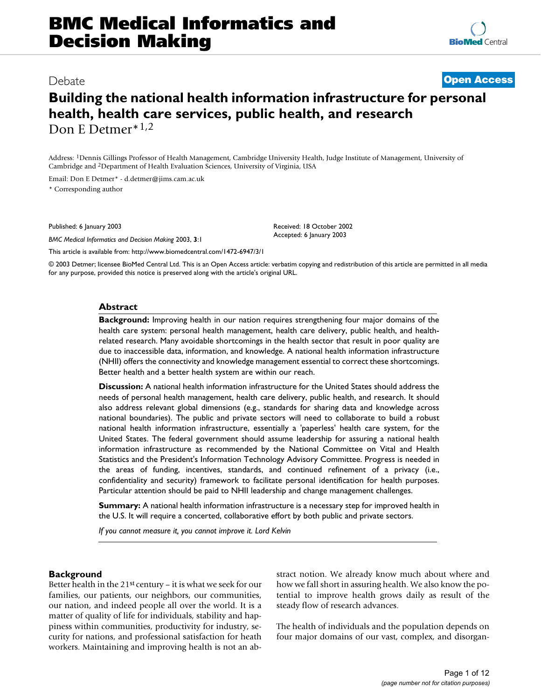# Debate **[Open Access](http://www.biomedcentral.com/info/about/charter/)**

# **Building the national health information infrastructure for personal health, health care services, public health, and research** Don E Detmer\*1,2

Address: 1Dennis Gillings Professor of Health Management, Cambridge University Health, Judge Institute of Management, University of Cambridge and 2Department of Health Evaluation Sciences, University of Virginia, USA

Email: Don E Detmer\* - d.detmer@jims.cam.ac.uk \* Corresponding author

Published: 6 January 2003

*BMC Medical Informatics and Decision Making* 2003, **3**:1

[This article is available from: http://www.biomedcentral.com/1472-6947/3/1](http://www.biomedcentral.com/1472-6947/3/1)

© 2003 Detmer; licensee BioMed Central Ltd. This is an Open Access article: verbatim copying and redistribution of this article are permitted in all media for any purpose, provided this notice is preserved along with the article's original URL.

Received: 18 October 2002 Accepted: 6 January 2003

### **Abstract**

**Background:** Improving health in our nation requires strengthening four major domains of the health care system: personal health management, health care delivery, public health, and healthrelated research. Many avoidable shortcomings in the health sector that result in poor quality are due to inaccessible data, information, and knowledge. A national health information infrastructure (NHII) offers the connectivity and knowledge management essential to correct these shortcomings. Better health and a better health system are within our reach.

**Discussion:** A national health information infrastructure for the United States should address the needs of personal health management, health care delivery, public health, and research. It should also address relevant global dimensions (e.g., standards for sharing data and knowledge across national boundaries). The public and private sectors will need to collaborate to build a robust national health information infrastructure, essentially a 'paperless' health care system, for the United States. The federal government should assume leadership for assuring a national health information infrastructure as recommended by the National Committee on Vital and Health Statistics and the President's Information Technology Advisory Committee. Progress is needed in the areas of funding, incentives, standards, and continued refinement of a privacy (i.e., confidentiality and security) framework to facilitate personal identification for health purposes. Particular attention should be paid to NHII leadership and change management challenges.

**Summary:** A national health information infrastructure is a necessary step for improved health in the U.S. It will require a concerted, collaborative effort by both public and private sectors.

*If you cannot measure it, you cannot improve it. Lord Kelvin*

#### **Background**

Better health in the 21<sup>st</sup> century – it is what we seek for our families, our patients, our neighbors, our communities, our nation, and indeed people all over the world. It is a matter of quality of life for individuals, stability and happiness within communities, productivity for industry, security for nations, and professional satisfaction for heath workers. Maintaining and improving health is not an abstract notion. We already know much about where and how we fall short in assuring health. We also know the potential to improve health grows daily as result of the steady flow of research advances.

The health of individuals and the population depends on four major domains of our vast, complex, and disorgan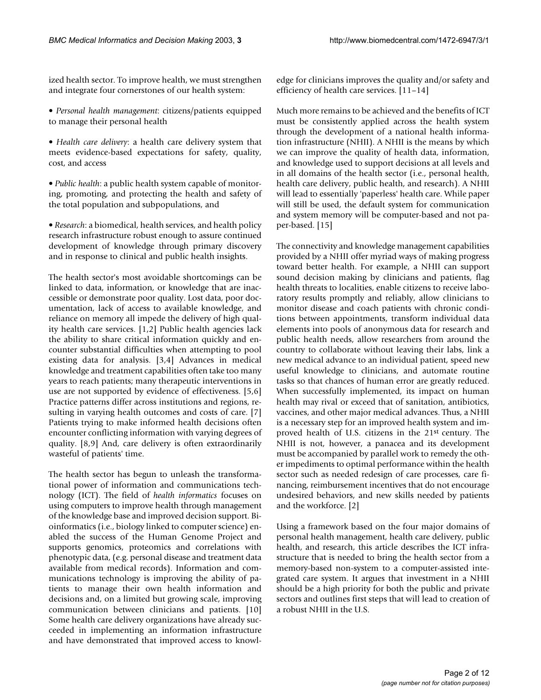ized health sector. To improve health, we must strengthen and integrate four cornerstones of our health system:

• *Personal health management*: citizens/patients equipped to manage their personal health

• *Health care delivery*: a health care delivery system that meets evidence-based expectations for safety, quality, cost, and access

• *Public health*: a public health system capable of monitoring, promoting, and protecting the health and safety of the total population and subpopulations, and

• *Research*: a biomedical, health services, and health policy research infrastructure robust enough to assure continued development of knowledge through primary discovery and in response to clinical and public health insights.

The health sector's most avoidable shortcomings can be linked to data, information, or knowledge that are inaccessible or demonstrate poor quality. Lost data, poor documentation, lack of access to available knowledge, and reliance on memory all impede the delivery of high quality health care services. [1,2] Public health agencies lack the ability to share critical information quickly and encounter substantial difficulties when attempting to pool existing data for analysis. [3,4] Advances in medical knowledge and treatment capabilities often take too many years to reach patients; many therapeutic interventions in use are not supported by evidence of effectiveness. [5,6] Practice patterns differ across institutions and regions, resulting in varying health outcomes and costs of care. [7] Patients trying to make informed health decisions often encounter conflicting information with varying degrees of quality. [8,9] And, care delivery is often extraordinarily wasteful of patients' time.

The health sector has begun to unleash the transformational power of information and communications technology (ICT). The field of *health informatics* focuses on using computers to improve health through management of the knowledge base and improved decision support. Bioinformatics (i.e., biology linked to computer science) enabled the success of the Human Genome Project and supports genomics, proteomics and correlations with phenotypic data, (e.g. personal disease and treatment data available from medical records). Information and communications technology is improving the ability of patients to manage their own health information and decisions and, on a limited but growing scale, improving communication between clinicians and patients. [10] Some health care delivery organizations have already succeeded in implementing an information infrastructure and have demonstrated that improved access to knowledge for clinicians improves the quality and/or safety and efficiency of health care services. [11–14]

Much more remains to be achieved and the benefits of ICT must be consistently applied across the health system through the development of a national health information infrastructure (NHII). A NHII is the means by which we can improve the quality of health data, information, and knowledge used to support decisions at all levels and in all domains of the health sector (i.e., personal health, health care delivery, public health, and research). A NHII will lead to essentially 'paperless' health care. While paper will still be used, the default system for communication and system memory will be computer-based and not paper-based. [15]

The connectivity and knowledge management capabilities provided by a NHII offer myriad ways of making progress toward better health. For example, a NHII can support sound decision making by clinicians and patients, flag health threats to localities, enable citizens to receive laboratory results promptly and reliably, allow clinicians to monitor disease and coach patients with chronic conditions between appointments, transform individual data elements into pools of anonymous data for research and public health needs, allow researchers from around the country to collaborate without leaving their labs, link a new medical advance to an individual patient, speed new useful knowledge to clinicians, and automate routine tasks so that chances of human error are greatly reduced. When successfully implemented, its impact on human health may rival or exceed that of sanitation, antibiotics, vaccines, and other major medical advances. Thus, a NHII is a necessary step for an improved health system and improved health of U.S. citizens in the 21st century. The NHII is not, however, a panacea and its development must be accompanied by parallel work to remedy the other impediments to optimal performance within the health sector such as needed redesign of care processes, care financing, reimbursement incentives that do not encourage undesired behaviors, and new skills needed by patients and the workforce. [2]

Using a framework based on the four major domains of personal health management, health care delivery, public health, and research, this article describes the ICT infrastructure that is needed to bring the health sector from a memory-based non-system to a computer-assisted integrated care system. It argues that investment in a NHII should be a high priority for both the public and private sectors and outlines first steps that will lead to creation of a robust NHII in the U.S.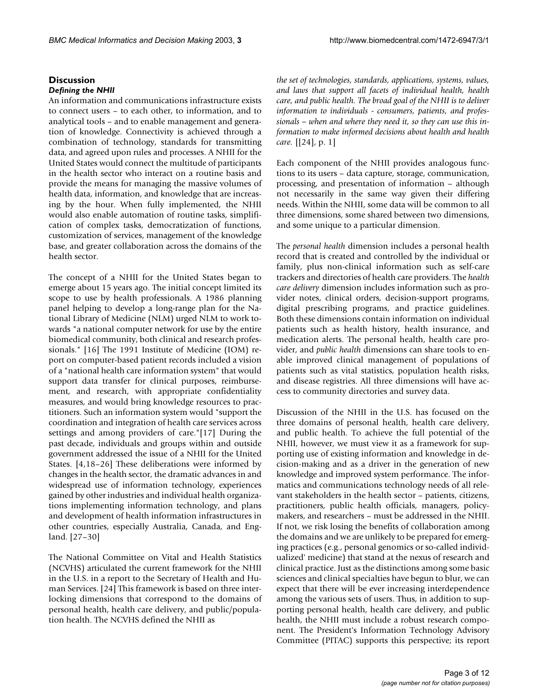### **Discussion** *Defining the NHII*

An information and communications infrastructure exists to connect users – to each other, to information, and to analytical tools – and to enable management and generation of knowledge. Connectivity is achieved through a combination of technology, standards for transmitting data, and agreed upon rules and processes. A NHII for the United States would connect the multitude of participants in the health sector who interact on a routine basis and provide the means for managing the massive volumes of health data, information, and knowledge that are increasing by the hour. When fully implemented, the NHII would also enable automation of routine tasks, simplification of complex tasks, democratization of functions, customization of services, management of the knowledge base, and greater collaboration across the domains of the health sector.

The concept of a NHII for the United States began to emerge about 15 years ago. The initial concept limited its scope to use by health professionals. A 1986 planning panel helping to develop a long-range plan for the National Library of Medicine (NLM) urged NLM to work towards "a national computer network for use by the entire biomedical community, both clinical and research professionals." [16] The 1991 Institute of Medicine (IOM) report on computer-based patient records included a vision of a "national health care information system" that would support data transfer for clinical purposes, reimbursement, and research, with appropriate confidentiality measures, and would bring knowledge resources to practitioners. Such an information system would "support the coordination and integration of health care services across settings and among providers of care."[17] During the past decade, individuals and groups within and outside government addressed the issue of a NHII for the United States. [4,18–26] These deliberations were informed by changes in the health sector, the dramatic advances in and widespread use of information technology, experiences gained by other industries and individual health organizations implementing information technology, and plans and development of health information infrastructures in other countries, especially Australia, Canada, and England. [27–30]

The National Committee on Vital and Health Statistics (NCVHS) articulated the current framework for the NHII in the U.S. in a report to the Secretary of Health and Human Services. [24] This framework is based on three interlocking dimensions that correspond to the domains of personal health, health care delivery, and public/population health. The NCVHS defined the NHII as

*the set of technologies, standards, applications, systems, values, and laws that support all facets of individual health, health care, and public health. The broad goal of the NHII is to deliver information to individuals - consumers, patients, and professionals – when and where they need it, so they can use this information to make informed decisions about health and health care.* [[24], p. 1]

Each component of the NHII provides analogous functions to its users – data capture, storage, communication, processing, and presentation of information – although not necessarily in the same way given their differing needs. Within the NHII, some data will be common to all three dimensions, some shared between two dimensions, and some unique to a particular dimension.

The *personal health* dimension includes a personal health record that is created and controlled by the individual or family, plus non-clinical information such as self-care trackers and directories of health care providers. The *health care delivery* dimension includes information such as provider notes, clinical orders, decision-support programs, digital prescribing programs, and practice guidelines. Both these dimensions contain information on individual patients such as health history, health insurance, and medication alerts. The personal health, health care provider, and *public health* dimensions can share tools to enable improved clinical management of populations of patients such as vital statistics, population health risks, and disease registries. All three dimensions will have access to community directories and survey data.

Discussion of the NHII in the U.S. has focused on the three domains of personal health, health care delivery, and public health. To achieve the full potential of the NHII, however, we must view it as a framework for supporting use of existing information and knowledge in decision-making and as a driver in the generation of new knowledge and improved system performance. The informatics and communications technology needs of all relevant stakeholders in the health sector – patients, citizens, practitioners, public health officials, managers, policymakers, and researchers – must be addressed in the NHII. If not, we risk losing the benefits of collaboration among the domains and we are unlikely to be prepared for emerging practices (e.g., personal genomics or so-called individualized' medicine) that stand at the nexus of research and clinical practice. Just as the distinctions among some basic sciences and clinical specialties have begun to blur, we can expect that there will be ever increasing interdependence among the various sets of users. Thus, in addition to supporting personal health, health care delivery, and public health, the NHII must include a robust research component. The President's Information Technology Advisory Committee (PITAC) supports this perspective; its report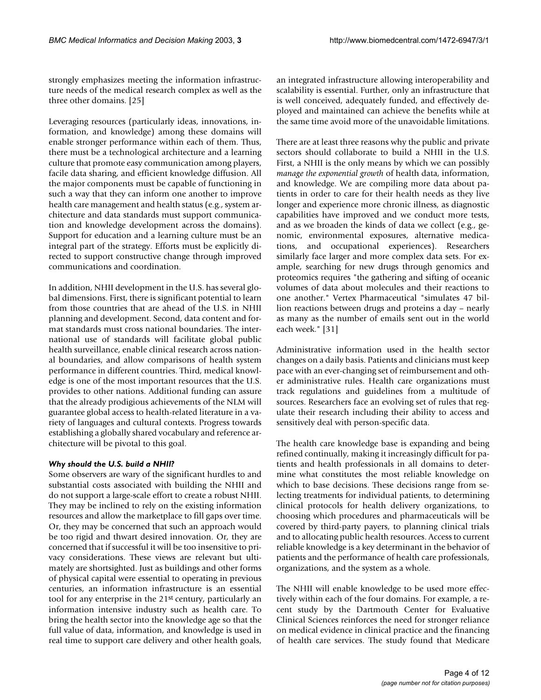strongly emphasizes meeting the information infrastructure needs of the medical research complex as well as the three other domains. [25]

Leveraging resources (particularly ideas, innovations, information, and knowledge) among these domains will enable stronger performance within each of them. Thus, there must be a technological architecture and a learning culture that promote easy communication among players, facile data sharing, and efficient knowledge diffusion. All the major components must be capable of functioning in such a way that they can inform one another to improve health care management and health status (e.g., system architecture and data standards must support communication and knowledge development across the domains). Support for education and a learning culture must be an integral part of the strategy. Efforts must be explicitly directed to support constructive change through improved communications and coordination.

In addition, NHII development in the U.S. has several global dimensions. First, there is significant potential to learn from those countries that are ahead of the U.S. in NHII planning and development. Second, data content and format standards must cross national boundaries. The international use of standards will facilitate global public health surveillance, enable clinical research across national boundaries, and allow comparisons of health system performance in different countries. Third, medical knowledge is one of the most important resources that the U.S. provides to other nations. Additional funding can assure that the already prodigious achievements of the NLM will guarantee global access to health-related literature in a variety of languages and cultural contexts. Progress towards establishing a globally shared vocabulary and reference architecture will be pivotal to this goal.

### *Why should the U.S. build a NHII?*

Some observers are wary of the significant hurdles to and substantial costs associated with building the NHII and do not support a large-scale effort to create a robust NHII. They may be inclined to rely on the existing information resources and allow the marketplace to fill gaps over time. Or, they may be concerned that such an approach would be too rigid and thwart desired innovation. Or, they are concerned that if successful it will be too insensitive to privacy considerations. These views are relevant but ultimately are shortsighted. Just as buildings and other forms of physical capital were essential to operating in previous centuries, an information infrastructure is an essential tool for any enterprise in the 21st century, particularly an information intensive industry such as health care. To bring the health sector into the knowledge age so that the full value of data, information, and knowledge is used in real time to support care delivery and other health goals,

an integrated infrastructure allowing interoperability and scalability is essential. Further, only an infrastructure that is well conceived, adequately funded, and effectively deployed and maintained can achieve the benefits while at the same time avoid more of the unavoidable limitations.

There are at least three reasons why the public and private sectors should collaborate to build a NHII in the U.S. First, a NHII is the only means by which we can possibly *manage the exponential growth* of health data, information, and knowledge. We are compiling more data about patients in order to care for their health needs as they live longer and experience more chronic illness, as diagnostic capabilities have improved and we conduct more tests, and as we broaden the kinds of data we collect (e.g., genomic, environmental exposures, alternative medications, and occupational experiences). Researchers similarly face larger and more complex data sets. For example, searching for new drugs through genomics and proteomics requires "the gathering and sifting of oceanic volumes of data about molecules and their reactions to one another." Vertex Pharmaceutical "simulates 47 billion reactions between drugs and proteins a day – nearly as many as the number of emails sent out in the world each week." [31]

Administrative information used in the health sector changes on a daily basis. Patients and clinicians must keep pace with an ever-changing set of reimbursement and other administrative rules. Health care organizations must track regulations and guidelines from a multitude of sources. Researchers face an evolving set of rules that regulate their research including their ability to access and sensitively deal with person-specific data.

The health care knowledge base is expanding and being refined continually, making it increasingly difficult for patients and health professionals in all domains to determine what constitutes the most reliable knowledge on which to base decisions. These decisions range from selecting treatments for individual patients, to determining clinical protocols for health delivery organizations, to choosing which procedures and pharmaceuticals will be covered by third-party payers, to planning clinical trials and to allocating public health resources. Access to current reliable knowledge is a key determinant in the behavior of patients and the performance of health care professionals, organizations, and the system as a whole.

The NHII will enable knowledge to be used more effectively within each of the four domains. For example, a recent study by the Dartmouth Center for Evaluative Clinical Sciences reinforces the need for stronger reliance on medical evidence in clinical practice and the financing of health care services. The study found that Medicare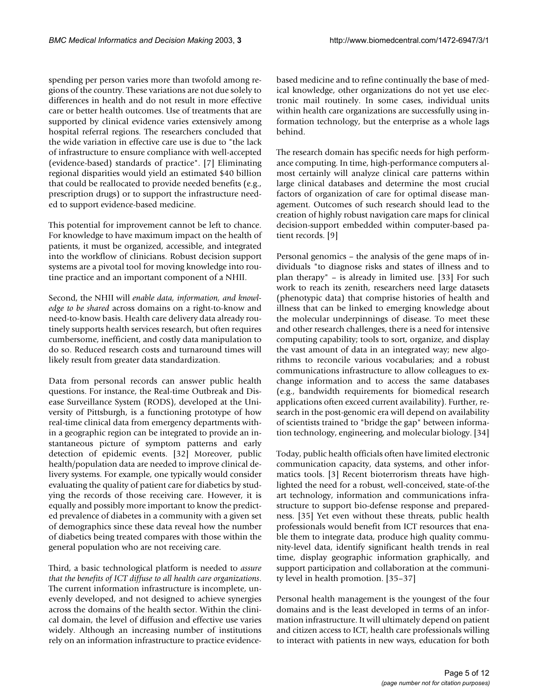spending per person varies more than twofold among regions of the country. These variations are not due solely to differences in health and do not result in more effective care or better health outcomes. Use of treatments that are supported by clinical evidence varies extensively among hospital referral regions. The researchers concluded that the wide variation in effective care use is due to "the lack of infrastructure to ensure compliance with well-accepted (evidence-based) standards of practice". [7] Eliminating regional disparities would yield an estimated \$40 billion that could be reallocated to provide needed benefits (e.g., prescription drugs) or to support the infrastructure needed to support evidence-based medicine.

This potential for improvement cannot be left to chance. For knowledge to have maximum impact on the health of patients, it must be organized, accessible, and integrated into the workflow of clinicians. Robust decision support systems are a pivotal tool for moving knowledge into routine practice and an important component of a NHII.

Second, the NHII will *enable data, information, and knowledge to be shared* across domains on a right-to-know and need-to-know basis. Health care delivery data already routinely supports health services research, but often requires cumbersome, inefficient, and costly data manipulation to do so. Reduced research costs and turnaround times will likely result from greater data standardization.

Data from personal records can answer public health questions. For instance, the Real-time Outbreak and Disease Surveillance System (RODS), developed at the University of Pittsburgh, is a functioning prototype of how real-time clinical data from emergency departments within a geographic region can be integrated to provide an instantaneous picture of symptom patterns and early detection of epidemic events. [32] Moreover, public health/population data are needed to improve clinical delivery systems. For example, one typically would consider evaluating the quality of patient care for diabetics by studying the records of those receiving care. However, it is equally and possibly more important to know the predicted prevalence of diabetes in a community with a given set of demographics since these data reveal how the number of diabetics being treated compares with those within the general population who are not receiving care.

Third, a basic technological platform is needed to *assure that the benefits of ICT diffuse to all health care organizations*. The current information infrastructure is incomplete, unevenly developed, and not designed to achieve synergies across the domains of the health sector. Within the clinical domain, the level of diffusion and effective use varies widely. Although an increasing number of institutions rely on an information infrastructure to practice evidencebased medicine and to refine continually the base of medical knowledge, other organizations do not yet use electronic mail routinely. In some cases, individual units within health care organizations are successfully using information technology, but the enterprise as a whole lags behind.

The research domain has specific needs for high performance computing. In time, high-performance computers almost certainly will analyze clinical care patterns within large clinical databases and determine the most crucial factors of organization of care for optimal disease management. Outcomes of such research should lead to the creation of highly robust navigation care maps for clinical decision-support embedded within computer-based patient records. [9]

Personal genomics – the analysis of the gene maps of individuals "to diagnose risks and states of illness and to plan therapy" – is already in limited use. [33] For such work to reach its zenith, researchers need large datasets (phenotypic data) that comprise histories of health and illness that can be linked to emerging knowledge about the molecular underpinnings of disease. To meet these and other research challenges, there is a need for intensive computing capability; tools to sort, organize, and display the vast amount of data in an integrated way; new algorithms to reconcile various vocabularies; and a robust communications infrastructure to allow colleagues to exchange information and to access the same databases (e.g., bandwidth requirements for biomedical research applications often exceed current availability). Further, research in the post-genomic era will depend on availability of scientists trained to "bridge the gap" between information technology, engineering, and molecular biology. [34]

Today, public health officials often have limited electronic communication capacity, data systems, and other informatics tools. [3] Recent bioterrorism threats have highlighted the need for a robust, well-conceived, state-of-the art technology, information and communications infrastructure to support bio-defense response and preparedness. [35] Yet even without these threats, public health professionals would benefit from ICT resources that enable them to integrate data, produce high quality community-level data, identify significant health trends in real time, display geographic information graphically, and support participation and collaboration at the community level in health promotion. [35–37]

Personal health management is the youngest of the four domains and is the least developed in terms of an information infrastructure. It will ultimately depend on patient and citizen access to ICT, health care professionals willing to interact with patients in new ways, education for both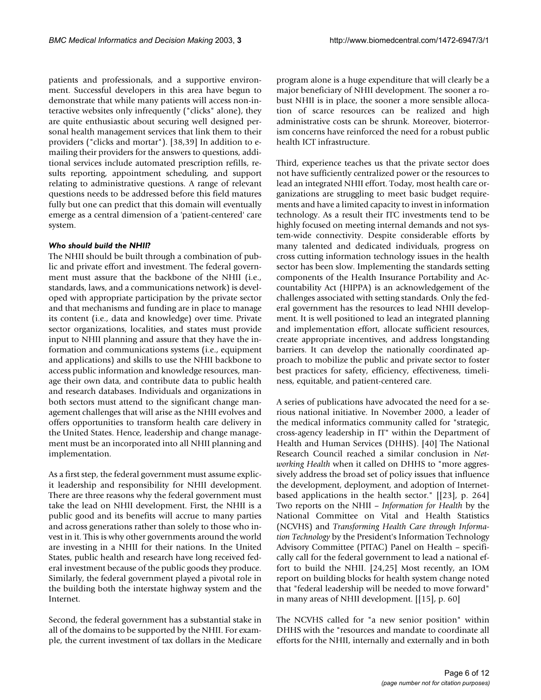patients and professionals, and a supportive environment. Successful developers in this area have begun to demonstrate that while many patients will access non-interactive websites only infrequently ("clicks" alone), they are quite enthusiastic about securing well designed personal health management services that link them to their providers ("clicks and mortar"). [38,39] In addition to emailing their providers for the answers to questions, additional services include automated prescription refills, results reporting, appointment scheduling, and support relating to administrative questions. A range of relevant questions needs to be addressed before this field matures fully but one can predict that this domain will eventually emerge as a central dimension of a 'patient-centered' care system.

## *Who should build the NHII?*

The NHII should be built through a combination of public and private effort and investment. The federal government must assure that the backbone of the NHII (i.e., standards, laws, and a communications network) is developed with appropriate participation by the private sector and that mechanisms and funding are in place to manage its content (i.e., data and knowledge) over time. Private sector organizations, localities, and states must provide input to NHII planning and assure that they have the information and communications systems (i.e., equipment and applications) and skills to use the NHII backbone to access public information and knowledge resources, manage their own data, and contribute data to public health and research databases. Individuals and organizations in both sectors must attend to the significant change management challenges that will arise as the NHII evolves and offers opportunities to transform health care delivery in the United States. Hence, leadership and change management must be an incorporated into all NHII planning and implementation.

As a first step, the federal government must assume explicit leadership and responsibility for NHII development. There are three reasons why the federal government must take the lead on NHII development. First, the NHII is a public good and its benefits will accrue to many parties and across generations rather than solely to those who invest in it. This is why other governments around the world are investing in a NHII for their nations. In the United States, public health and research have long received federal investment because of the public goods they produce. Similarly, the federal government played a pivotal role in the building both the interstate highway system and the Internet.

Second, the federal government has a substantial stake in all of the domains to be supported by the NHII. For example, the current investment of tax dollars in the Medicare

program alone is a huge expenditure that will clearly be a major beneficiary of NHII development. The sooner a robust NHII is in place, the sooner a more sensible allocation of scarce resources can be realized and high administrative costs can be shrunk. Moreover, bioterrorism concerns have reinforced the need for a robust public health ICT infrastructure.

Third, experience teaches us that the private sector does not have sufficiently centralized power or the resources to lead an integrated NHII effort. Today, most health care organizations are struggling to meet basic budget requirements and have a limited capacity to invest in information technology. As a result their ITC investments tend to be highly focused on meeting internal demands and not system-wide connectivity. Despite considerable efforts by many talented and dedicated individuals, progress on cross cutting information technology issues in the health sector has been slow. Implementing the standards setting components of the Health Insurance Portability and Accountability Act (HIPPA) is an acknowledgement of the challenges associated with setting standards. Only the federal government has the resources to lead NHII development. It is well positioned to lead an integrated planning and implementation effort, allocate sufficient resources, create appropriate incentives, and address longstanding barriers. It can develop the nationally coordinated approach to mobilize the public and private sector to foster best practices for safety, efficiency, effectiveness, timeliness, equitable, and patient-centered care.

A series of publications have advocated the need for a serious national initiative. In November 2000, a leader of the medical informatics community called for "strategic, cross-agency leadership in IT" within the Department of Health and Human Services (DHHS). [40] The National Research Council reached a similar conclusion in *Networking Health* when it called on DHHS to "more aggressively address the broad set of policy issues that influence the development, deployment, and adoption of Internetbased applications in the health sector." [[23], p. 264] Two reports on the NHII – *Information for Health* by the National Committee on Vital and Health Statistics (NCVHS) and *Transforming Health Care through Information Technology* by the President's Information Technology Advisory Committee (PITAC) Panel on Health – specifically call for the federal government to lead a national effort to build the NHII. [24,25] Most recently, an IOM report on building blocks for health system change noted that "federal leadership will be needed to move forward" in many areas of NHII development. [[15], p. 60]

The NCVHS called for "a new senior position" within DHHS with the "resources and mandate to coordinate all efforts for the NHII, internally and externally and in both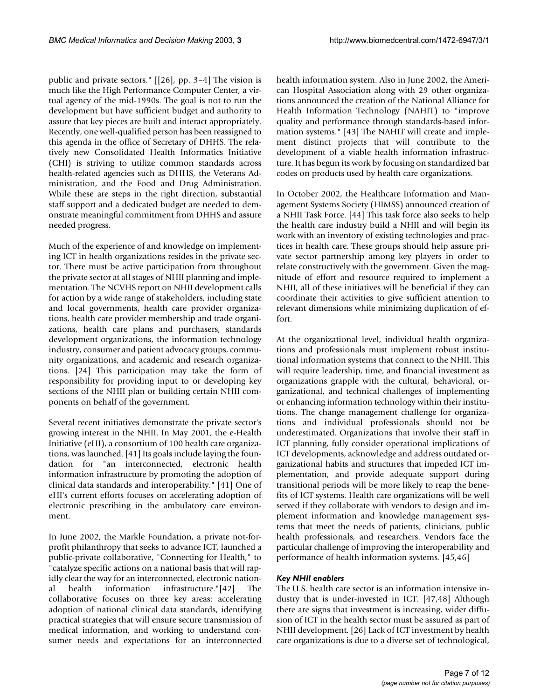public and private sectors." [[26], pp. 3–4] The vision is much like the High Performance Computer Center, a virtual agency of the mid-1990s. The goal is not to run the development but have sufficient budget and authority to assure that key pieces are built and interact appropriately. Recently, one well-qualified person has been reassigned to this agenda in the office of Secretary of DHHS. The relatively new Consolidated Health Informatics Initiative (CHI) is striving to utilize common standards across health-related agencies such as DHHS, the Veterans Administration, and the Food and Drug Administration. While these are steps in the right direction, substantial staff support and a dedicated budget are needed to demonstrate meaningful commitment from DHHS and assure needed progress.

Much of the experience of and knowledge on implementing ICT in health organizations resides in the private sector. There must be active participation from throughout the private sector at all stages of NHII planning and implementation. The NCVHS report on NHII development calls for action by a wide range of stakeholders, including state and local governments, health care provider organizations, health care provider membership and trade organizations, health care plans and purchasers, standards development organizations, the information technology industry, consumer and patient advocacy groups, community organizations, and academic and research organizations. [24] This participation may take the form of responsibility for providing input to or developing key sections of the NHII plan or building certain NHII components on behalf of the government.

Several recent initiatives demonstrate the private sector's growing interest in the NHII. In May 2001, the e-Health Initiative (eHI), a consortium of 100 health care organizations, was launched. [41] Its goals include laying the foundation for "an interconnected, electronic health information infrastructure by promoting the adoption of clinical data standards and interoperability." [41] One of eHI's current efforts focuses on accelerating adoption of electronic prescribing in the ambulatory care environment.

In June 2002, the Markle Foundation, a private not-forprofit philanthropy that seeks to advance ICT, launched a public-private collaborative, "Connecting for Health," to "catalyze specific actions on a national basis that will rapidly clear the way for an interconnected, electronic national health information infrastructure."[42] The collaborative focuses on three key areas: accelerating adoption of national clinical data standards, identifying practical strategies that will ensure secure transmission of medical information, and working to understand consumer needs and expectations for an interconnected

health information system. Also in June 2002, the American Hospital Association along with 29 other organizations announced the creation of the National Alliance for Health Information Technology (NAHIT) to "improve quality and performance through standards-based information systems." [43] The NAHIT will create and implement distinct projects that will contribute to the development of a viable health information infrastructure. It has begun its work by focusing on standardized bar codes on products used by health care organizations.

In October 2002, the Healthcare Information and Management Systems Society (HIMSS) announced creation of a NHII Task Force. [44] This task force also seeks to help the health care industry build a NHII and will begin its work with an inventory of existing technologies and practices in health care. These groups should help assure private sector partnership among key players in order to relate constructively with the government. Given the magnitude of effort and resource required to implement a NHII, all of these initiatives will be beneficial if they can coordinate their activities to give sufficient attention to relevant dimensions while minimizing duplication of effort.

At the organizational level, individual health organizations and professionals must implement robust institutional information systems that connect to the NHII. This will require leadership, time, and financial investment as organizations grapple with the cultural, behavioral, organizational, and technical challenges of implementing or enhancing information technology within their institutions. The change management challenge for organizations and individual professionals should not be underestimated. Organizations that involve their staff in ICT planning, fully consider operational implications of ICT developments, acknowledge and address outdated organizational habits and structures that impeded ICT implementation, and provide adequate support during transitional periods will be more likely to reap the benefits of ICT systems. Health care organizations will be well served if they collaborate with vendors to design and implement information and knowledge management systems that meet the needs of patients, clinicians, public health professionals, and researchers. Vendors face the particular challenge of improving the interoperability and performance of health information systems. [45,46]

### *Key NHII enablers*

The U.S. health care sector is an information intensive industry that is under-invested in ICT. [47,48] Although there are signs that investment is increasing, wider diffusion of ICT in the health sector must be assured as part of NHII development. [26] Lack of ICT investment by health care organizations is due to a diverse set of technological,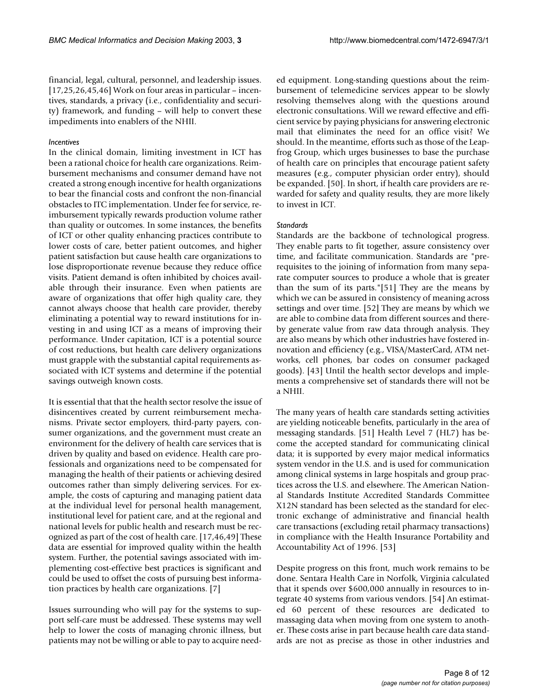financial, legal, cultural, personnel, and leadership issues. [17,25,26,45,46] Work on four areas in particular – incentives, standards, a privacy (i.e., confidentiality and security) framework, and funding – will help to convert these impediments into enablers of the NHII.

#### *Incentives*

In the clinical domain, limiting investment in ICT has been a rational choice for health care organizations. Reimbursement mechanisms and consumer demand have not created a strong enough incentive for health organizations to bear the financial costs and confront the non-financial obstacles to ITC implementation. Under fee for service, reimbursement typically rewards production volume rather than quality or outcomes. In some instances, the benefits of ICT or other quality enhancing practices contribute to lower costs of care, better patient outcomes, and higher patient satisfaction but cause health care organizations to lose disproportionate revenue because they reduce office visits. Patient demand is often inhibited by choices available through their insurance. Even when patients are aware of organizations that offer high quality care, they cannot always choose that health care provider, thereby eliminating a potential way to reward institutions for investing in and using ICT as a means of improving their performance. Under capitation, ICT is a potential source of cost reductions, but health care delivery organizations must grapple with the substantial capital requirements associated with ICT systems and determine if the potential savings outweigh known costs.

It is essential that that the health sector resolve the issue of disincentives created by current reimbursement mechanisms. Private sector employers, third-party payers, consumer organizations, and the government must create an environment for the delivery of health care services that is driven by quality and based on evidence. Health care professionals and organizations need to be compensated for managing the health of their patients or achieving desired outcomes rather than simply delivering services. For example, the costs of capturing and managing patient data at the individual level for personal health management, institutional level for patient care, and at the regional and national levels for public health and research must be recognized as part of the cost of health care. [17,46,49] These data are essential for improved quality within the health system. Further, the potential savings associated with implementing cost-effective best practices is significant and could be used to offset the costs of pursuing best information practices by health care organizations. [7]

Issues surrounding who will pay for the systems to support self-care must be addressed. These systems may well help to lower the costs of managing chronic illness, but patients may not be willing or able to pay to acquire needed equipment. Long-standing questions about the reimbursement of telemedicine services appear to be slowly resolving themselves along with the questions around electronic consultations. Will we reward effective and efficient service by paying physicians for answering electronic mail that eliminates the need for an office visit? We should. In the meantime, efforts such as those of the Leapfrog Group, which urges businesses to base the purchase of health care on principles that encourage patient safety measures (e.g., computer physician order entry), should be expanded. [50]. In short, if health care providers are rewarded for safety and quality results, they are more likely to invest in ICT.

#### *Standards*

Standards are the backbone of technological progress. They enable parts to fit together, assure consistency over time, and facilitate communication. Standards are "prerequisites to the joining of information from many separate computer sources to produce a whole that is greater than the sum of its parts."[51] They are the means by which we can be assured in consistency of meaning across settings and over time. [52] They are means by which we are able to combine data from different sources and thereby generate value from raw data through analysis. They are also means by which other industries have fostered innovation and efficiency (e.g., VISA/MasterCard, ATM networks, cell phones, bar codes on consumer packaged goods). [43] Until the health sector develops and implements a comprehensive set of standards there will not be a NHII.

The many years of health care standards setting activities are yielding noticeable benefits, particularly in the area of messaging standards. [51] Health Level 7 (HL7) has become the accepted standard for communicating clinical data; it is supported by every major medical informatics system vendor in the U.S. and is used for communication among clinical systems in large hospitals and group practices across the U.S. and elsewhere. The American National Standards Institute Accredited Standards Committee X12N standard has been selected as the standard for electronic exchange of administrative and financial health care transactions (excluding retail pharmacy transactions) in compliance with the Health Insurance Portability and Accountability Act of 1996. [53]

Despite progress on this front, much work remains to be done. Sentara Health Care in Norfolk, Virginia calculated that it spends over \$600,000 annually in resources to integrate 40 systems from various vendors. [54] An estimated 60 percent of these resources are dedicated to massaging data when moving from one system to another. These costs arise in part because health care data standards are not as precise as those in other industries and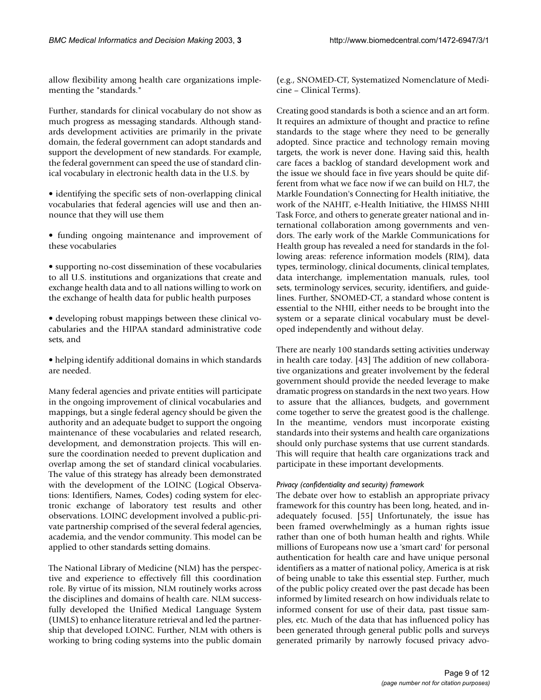allow flexibility among health care organizations implementing the "standards."

Further, standards for clinical vocabulary do not show as much progress as messaging standards. Although standards development activities are primarily in the private domain, the federal government can adopt standards and support the development of new standards. For example, the federal government can speed the use of standard clinical vocabulary in electronic health data in the U.S. by

- identifying the specific sets of non-overlapping clinical vocabularies that federal agencies will use and then announce that they will use them
- funding ongoing maintenance and improvement of these vocabularies

• supporting no-cost dissemination of these vocabularies to all U.S. institutions and organizations that create and exchange health data and to all nations willing to work on the exchange of health data for public health purposes

- developing robust mappings between these clinical vocabularies and the HIPAA standard administrative code sets, and
- helping identify additional domains in which standards are needed.

Many federal agencies and private entities will participate in the ongoing improvement of clinical vocabularies and mappings, but a single federal agency should be given the authority and an adequate budget to support the ongoing maintenance of these vocabularies and related research, development, and demonstration projects. This will ensure the coordination needed to prevent duplication and overlap among the set of standard clinical vocabularies. The value of this strategy has already been demonstrated with the development of the LOINC (Logical Observations: Identifiers, Names, Codes) coding system for electronic exchange of laboratory test results and other observations. LOINC development involved a public-private partnership comprised of the several federal agencies, academia, and the vendor community. This model can be applied to other standards setting domains.

The National Library of Medicine (NLM) has the perspective and experience to effectively fill this coordination role. By virtue of its mission, NLM routinely works across the disciplines and domains of health care. NLM successfully developed the Unified Medical Language System (UMLS) to enhance literature retrieval and led the partnership that developed LOINC. Further, NLM with others is working to bring coding systems into the public domain

(e.g., SNOMED-CT, Systematized Nomenclature of Medicine – Clinical Terms).

Creating good standards is both a science and an art form. It requires an admixture of thought and practice to refine standards to the stage where they need to be generally adopted. Since practice and technology remain moving targets, the work is never done. Having said this, health care faces a backlog of standard development work and the issue we should face in five years should be quite different from what we face now if we can build on HL7, the Markle Foundation's Connecting for Health initiative, the work of the NAHIT, e-Health Initiative, the HIMSS NHII Task Force, and others to generate greater national and international collaboration among governments and vendors. The early work of the Markle Communications for Health group has revealed a need for standards in the following areas: reference information models (RIM), data types, terminology, clinical documents, clinical templates, data interchange, implementation manuals, rules, tool sets, terminology services, security, identifiers, and guidelines. Further, SNOMED-CT, a standard whose content is essential to the NHII, either needs to be brought into the system or a separate clinical vocabulary must be developed independently and without delay.

There are nearly 100 standards setting activities underway in health care today. [43] The addition of new collaborative organizations and greater involvement by the federal government should provide the needed leverage to make dramatic progress on standards in the next two years. How to assure that the alliances, budgets, and government come together to serve the greatest good is the challenge. In the meantime, vendors must incorporate existing standards into their systems and health care organizations should only purchase systems that use current standards. This will require that health care organizations track and participate in these important developments.

### *Privacy (confidentiality and security) framework*

The debate over how to establish an appropriate privacy framework for this country has been long, heated, and inadequately focused. [55] Unfortunately, the issue has been framed overwhelmingly as a human rights issue rather than one of both human health and rights. While millions of Europeans now use a 'smart card' for personal authentication for health care and have unique personal identifiers as a matter of national policy, America is at risk of being unable to take this essential step. Further, much of the public policy created over the past decade has been informed by limited research on how individuals relate to informed consent for use of their data, past tissue samples, etc. Much of the data that has influenced policy has been generated through general public polls and surveys generated primarily by narrowly focused privacy advo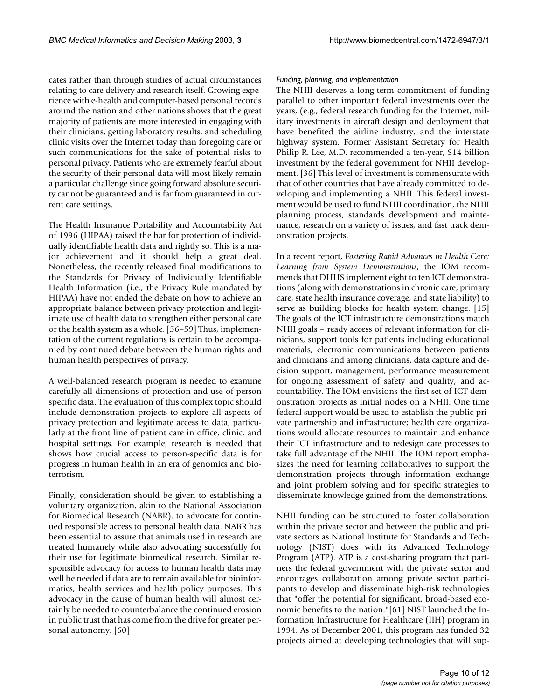cates rather than through studies of actual circumstances relating to care delivery and research itself. Growing experience with e-health and computer-based personal records around the nation and other nations shows that the great majority of patients are more interested in engaging with their clinicians, getting laboratory results, and scheduling clinic visits over the Internet today than foregoing care or such communications for the sake of potential risks to personal privacy. Patients who are extremely fearful about the security of their personal data will most likely remain a particular challenge since going forward absolute security cannot be guaranteed and is far from guaranteed in current care settings.

The Health Insurance Portability and Accountability Act of 1996 (HIPAA) raised the bar for protection of individually identifiable health data and rightly so. This is a major achievement and it should help a great deal. Nonetheless, the recently released final modifications to the Standards for Privacy of Individually Identifiable Health Information (i.e., the Privacy Rule mandated by HIPAA) have not ended the debate on how to achieve an appropriate balance between privacy protection and legitimate use of health data to strengthen either personal care or the health system as a whole. [56–59] Thus, implementation of the current regulations is certain to be accompanied by continued debate between the human rights and human health perspectives of privacy.

A well-balanced research program is needed to examine carefully all dimensions of protection and use of person specific data. The evaluation of this complex topic should include demonstration projects to explore all aspects of privacy protection and legitimate access to data, particularly at the front line of patient care in office, clinic, and hospital settings. For example, research is needed that shows how crucial access to person-specific data is for progress in human health in an era of genomics and bioterrorism.

Finally, consideration should be given to establishing a voluntary organization, akin to the National Association for Biomedical Research (NABR), to advocate for continued responsible access to personal health data. NABR has been essential to assure that animals used in research are treated humanely while also advocating successfully for their use for legitimate biomedical research. Similar responsible advocacy for access to human health data may well be needed if data are to remain available for bioinformatics, health services and health policy purposes. This advocacy in the cause of human health will almost certainly be needed to counterbalance the continued erosion in public trust that has come from the drive for greater personal autonomy. [60]

#### *Funding, planning, and implementation*

The NHII deserves a long-term commitment of funding parallel to other important federal investments over the years, (e.g., federal research funding for the Internet, military investments in aircraft design and deployment that have benefited the airline industry, and the interstate highway system. Former Assistant Secretary for Health Philip R. Lee, M.D. recommended a ten-year, \$14 billion investment by the federal government for NHII development. [36] This level of investment is commensurate with that of other countries that have already committed to developing and implementing a NHII. This federal investment would be used to fund NHII coordination, the NHII planning process, standards development and maintenance, research on a variety of issues, and fast track demonstration projects.

In a recent report, *Fostering Rapid Advances in Health Care: Learning from System Demonstrations*, the IOM recommends that DHHS implement eight to ten ICT demonstrations (along with demonstrations in chronic care, primary care, state health insurance coverage, and state liability) to serve as building blocks for health system change. [15] The goals of the ICT infrastructure demonstrations match NHII goals – ready access of relevant information for clinicians, support tools for patients including educational materials, electronic communications between patients and clinicians and among clinicians, data capture and decision support, management, performance measurement for ongoing assessment of safety and quality, and accountability. The IOM envisions the first set of ICT demonstration projects as initial nodes on a NHII. One time federal support would be used to establish the public-private partnership and infrastructure; health care organizations would allocate resources to maintain and enhance their ICT infrastructure and to redesign care processes to take full advantage of the NHII. The IOM report emphasizes the need for learning collaboratives to support the demonstration projects through information exchange and joint problem solving and for specific strategies to disseminate knowledge gained from the demonstrations.

NHII funding can be structured to foster collaboration within the private sector and between the public and private sectors as National Institute for Standards and Technology (NIST) does with its Advanced Technology Program (ATP). ATP is a cost-sharing program that partners the federal government with the private sector and encourages collaboration among private sector participants to develop and disseminate high-risk technologies that "offer the potential for significant, broad-based economic benefits to the nation."[61] NIST launched the Information Infrastructure for Healthcare (IIH) program in 1994. As of December 2001, this program has funded 32 projects aimed at developing technologies that will sup-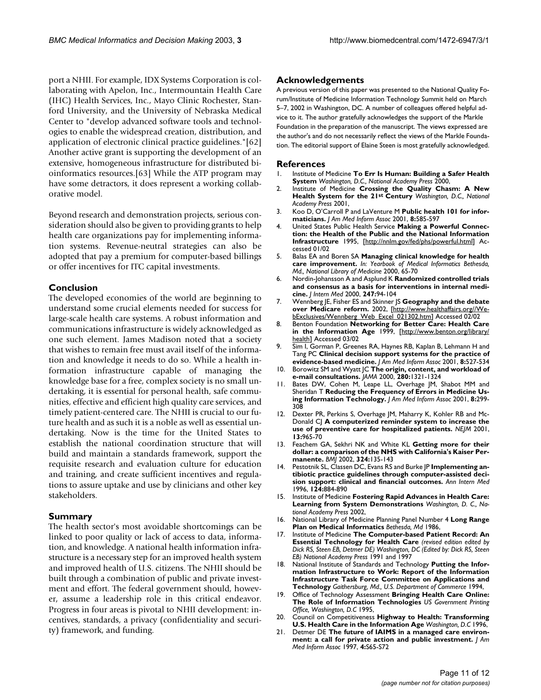port a NHII. For example, IDX Systems Corporation is collaborating with Apelon, Inc., Intermountain Health Care (IHC) Health Services, Inc., Mayo Clinic Rochester, Stanford University, and the University of Nebraska Medical Center to "develop advanced software tools and technologies to enable the widespread creation, distribution, and application of electronic clinical practice guidelines."[62] Another active grant is supporting the development of an extensive, homogeneous infrastructure for distributed bioinformatics resources.[63] While the ATP program may have some detractors, it does represent a working collaborative model.

Beyond research and demonstration projects, serious consideration should also be given to providing grants to help health care organizations pay for implementing information systems. Revenue-neutral strategies can also be adopted that pay a premium for computer-based billings or offer incentives for ITC capital investments.

#### **Conclusion**

The developed economies of the world are beginning to understand some crucial elements needed for success for large-scale health care systems. A robust information and communications infrastructure is widely acknowledged as one such element. James Madison noted that a society that wishes to remain free must avail itself of the information and knowledge it needs to do so. While a health information infrastructure capable of managing the knowledge base for a free, complex society is no small undertaking, it is essential for personal health, safe communities, effective and efficient high quality care services, and timely patient-centered care. The NHII is crucial to our future health and as such it is a noble as well as essential undertaking. Now is the time for the United States to establish the national coordination structure that will build and maintain a standards framework, support the requisite research and evaluation culture for education and training, and create sufficient incentives and regulations to assure uptake and use by clinicians and other key stakeholders.

#### **Summary**

The health sector's most avoidable shortcomings can be linked to poor quality or lack of access to data, information, and knowledge. A national health information infrastructure is a necessary step for an improved health system and improved health of U.S. citizens. The NHII should be built through a combination of public and private investment and effort. The federal government should, however, assume a leadership role in this critical endeavor. Progress in four areas is pivotal to NHII development: incentives, standards, a privacy (confidentiality and security) framework, and funding.

#### **Acknowledgements**

A previous version of this paper was presented to the National Quality Forum/Institute of Medicine Information Technology Summit held on March 5–7, 2002 in Washington, DC. A number of colleagues offered helpful advice to it. The author gratefully acknowledges the support of the Markle Foundation in the preparation of the manuscript. The views expressed are the author's and do not necessarily reflect the views of the Markle Foundation. The editorial support of Elaine Steen is most gratefully acknowledged.

#### **References**

- 1. Institute of Medicine **To Err Is Human: Building a Safer Health System** *Washington, D.C., National Academy Press* 2000,
- 2. Institute of Medicine **Crossing the Quality Chasm: A New Health System for the 21st Century** *Washington, D.C., National Academy Press* 2001,
- 3. Koo D, O'Carroll P and LaVenture M **[Public health 101 for infor](http://www.ncbi.nlm.nih.gov/entrez/query.fcgi?cmd=Retrieve&db=PubMed&dopt=Abstract&list_uids=11687565)[maticians.](http://www.ncbi.nlm.nih.gov/entrez/query.fcgi?cmd=Retrieve&db=PubMed&dopt=Abstract&list_uids=11687565)** *J Am Med Inform Assoc* 2001, **8:**585-597
- 4. United States Public Health Service **Making a Powerful Connection: the Health of the Public and the National Information Infrastructure** 1995, [<http://nnlm.gov/fed/phs/powerful.html>] Accessed 01/02
- 5. Balas EA and Boren SA **Managing clinical knowledge for health care improvement.** *In: Yearbook of Medical Informatics Bethesda, Md., National Library of Medicine* 2000, 65-70
- 6. Nordin-Johansson A and Asplund K **[Randomized controlled trials](http://www.ncbi.nlm.nih.gov/entrez/query.fcgi?cmd=Retrieve&db=PubMed&dopt=Abstract&list_uids=10672136) [and consensus as a basis for interventions in internal medi](http://www.ncbi.nlm.nih.gov/entrez/query.fcgi?cmd=Retrieve&db=PubMed&dopt=Abstract&list_uids=10672136)[cine.](http://www.ncbi.nlm.nih.gov/entrez/query.fcgi?cmd=Retrieve&db=PubMed&dopt=Abstract&list_uids=10672136)** *J Intern Med* 2000, **247:**94-104
- 7. Wennberg JE, Fisher ES and Skinner JS **Geography and the debate over Medicare reform.** 2002, [\[http://www.healthaffairs.org//We](http://www.healthaffairs.org//WebExclusives/Wennberg_Web_Excel_021302.htm)[bExclusives/Wennberg\\_Web\\_Excel\\_021302.htm](http://www.healthaffairs.org//WebExclusives/Wennberg_Web_Excel_021302.htm)] Accessed 02/02
- 8. Benton Foundation **Networking for Better Care: Health Care in the Information Age** 1999, [[http://www.benton.org/library/](http://www.benton.org/library/health) [health\]](http://www.benton.org/library/health) Accessed 03/02
- 9. Sim I, Gorman P, Greenes RA, Haynes RB, Kaplan B, Lehmann H and Tang PC **[Clinical decision support systems for the practice of](http://www.ncbi.nlm.nih.gov/entrez/query.fcgi?cmd=Retrieve&db=PubMed&dopt=Abstract&list_uids=11687560) [evidence-based medicine.](http://www.ncbi.nlm.nih.gov/entrez/query.fcgi?cmd=Retrieve&db=PubMed&dopt=Abstract&list_uids=11687560)** *J Am Med Inform Assoc* 2001, **8:**527-534
- 10. Borowitz SM and Wyatt JC **The origin, content, and workload of e-mail consultations.** *JAMA* 2000, **280:**1321-1324
- 11. Bates DW, Cohen M, Leape LL, Overhage JM, Shabot MM and Sheridan T **[Reducing the Frequency of Errors in Medicine Us](http://www.ncbi.nlm.nih.gov/entrez/query.fcgi?cmd=Retrieve&db=PubMed&dopt=Abstract&list_uids=11418536)[ing Information Technology.](http://www.ncbi.nlm.nih.gov/entrez/query.fcgi?cmd=Retrieve&db=PubMed&dopt=Abstract&list_uids=11418536)** *J Am Med Inform Assoc* 2001, **8:**299- 308
- 12. Dexter PR, Perkins S, Overhage JM, Maharry K, Kohler RB and Mc-Donald CJ **A computerized reminder system to increase the use of preventive care for hospitalized patients.** *NEJM* 2001, **13:**965-70
- 13. Feachem GA, Sekhri NK and White KL **[Getting more for their](http://www.ncbi.nlm.nih.gov/entrez/query.fcgi?cmd=Retrieve&db=PubMed&dopt=Abstract&list_uids=64512) [dollar: a comparison of the NHS with California's Kaiser Per](http://www.ncbi.nlm.nih.gov/entrez/query.fcgi?cmd=Retrieve&db=PubMed&dopt=Abstract&list_uids=64512)[manente.](http://www.ncbi.nlm.nih.gov/entrez/query.fcgi?cmd=Retrieve&db=PubMed&dopt=Abstract&list_uids=64512)** *BMJ* 2002, **324:**135-143
- 14. Pestotnik SL, Classen DC, Evans RS and Burke JP **[Implementing an](http://www.ncbi.nlm.nih.gov/entrez/query.fcgi?cmd=Retrieve&db=PubMed&dopt=Abstract&list_uids=8610917)[tibiotic practice guidelines through computer-assisted deci](http://www.ncbi.nlm.nih.gov/entrez/query.fcgi?cmd=Retrieve&db=PubMed&dopt=Abstract&list_uids=8610917)[sion support: clinical and financial outcomes.](http://www.ncbi.nlm.nih.gov/entrez/query.fcgi?cmd=Retrieve&db=PubMed&dopt=Abstract&list_uids=8610917)** *Ann Intern Med* 1996, **124:**884-890
- 15. Institute of Medicine **Fostering Rapid Advances in Health Care: Learning from System Demonstrations** *Washington, D. C., National Academy Press* 2002,
- 16. National Library of Medicine Planning Panel Number 4 **Long Range Plan on Medical Informatics** *Bethesda, Md* 1986,
- 17. Institute of Medicine **The Computer-based Patient Record: An Essential Technology for Health Care** *(revised edition edited by Dick RS, Steen EB, Detmer DE) Washington, DC (Edited by: Dick RS, Steen EB) National Academy Press* 1991 and 1997
- 18. National Institute of Standards and Technology **Putting the Information Infrastructure to Work: Report of the Information Infrastructure Task Force Committee on Applications and Technology** *Gaithersburg, Md., U.S. Department of Commerce* 1994,
- 19. Office of Technology Assessment **Bringing Health Care Online: The Role of Information Technologies** *US Government Printing Office, Washington, D.C* 1995,
- 20. Council on Competitiveness **Highway to Health: Transforming U.S. Health Care in the Information Age** *Washington, D.C* 1996,
- 21. Detmer DE **[The future of IAIMS in a managed care environ](http://www.ncbi.nlm.nih.gov/entrez/query.fcgi?cmd=Retrieve&db=PubMed&dopt=Abstract&list_uids=61494)[ment: a call for private action and public investment.](http://www.ncbi.nlm.nih.gov/entrez/query.fcgi?cmd=Retrieve&db=PubMed&dopt=Abstract&list_uids=61494)** *J Am Med Inform Assoc* 1997, **4:**S65-S72